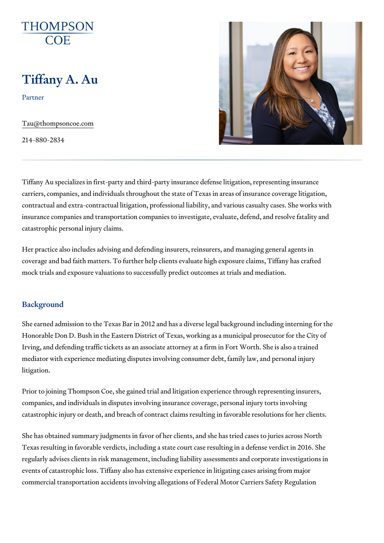# Tiffany A. Au

Partner

[Tau@thompson](mailto:Tau@thompsoncoe.com)coe.com

214-880-2834

Tiffany Au specializes in first-party and third-party insurance defense litic carriers, companies, and individuals throughout the state of Texas in area contractual and extra-contractual litigation, professional liability, and various insurance companies and transportation companies to investigate, evaluate catastrophic personal injury claims.

Her practice also includes advising and defending insurers, reinsurers, an coverage and bad faith matters. To further help clients evaluate high expo mock trials and exposure valuations to successfully predict outcomes at tr

#### Background

She earned admission to the Texas Bar in 2012 and has a diverse legal ba Honorable Don D. Bush in the Eastern District of Texas, working as a muni Irving, and defending traffic tickets as an associate attorney at a firm in F mediator with experience mediating disputes involving consumer debt, fam litigation.

Prior to joining Thompson Coe, she gained trial and litigation experience to companies, and individuals in disputes involving insurance coverage, personal interval in to  $\sim$ catastrophic injury or death, and breach of contract claims resulting in favorable resolutions.

She has obtained summary judgments in favor of her clients, and she has t Texas resulting in favorable verdicts, including a state court case resultin regularly advises clients in risk management, including liability assessmer events of catastrophic loss. Tiffany also has extensive experience in litigation commercial transportation accidents involving allegations of Federal Motor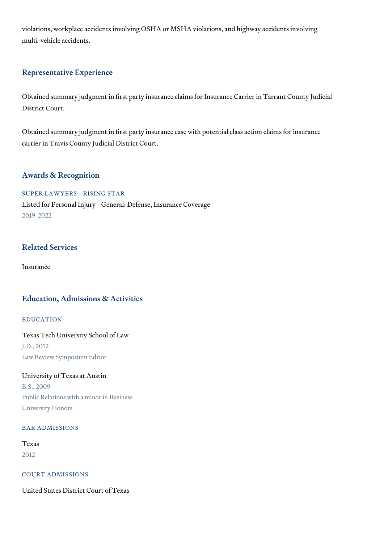violations, workplace accidents involving OSHA or MSHA violations, and hi multi-vehicle accidents.

#### Representative Experience

Obtained summary judgment in first party insurance claims for Insurance C District Court.

Obtained summary judgment in first party insurance case with potential cla carrier in Travis County Judicial District Court.

#### Awards & Recognition

SUPER LAWYERS - RISING STAR Listed for Personal Injury - General: Defense, Insurance Coverage 2019-2022

## Related Services

[Insura](https://www.thompsoncoe.com/people/tiffany-a-au/)nce

#### Education, Admissions & Activities

EDUCATION

Texas Tech University School of Law J.D., 2012 Law Review Symposium Editor

University of Texas at Austin B.S., 2009 Public Relations with a minor in Business University Honors

#### BAR ADMISSIONS

Texas 2012

COURT ADMISSIONS

United States District Court of Texas